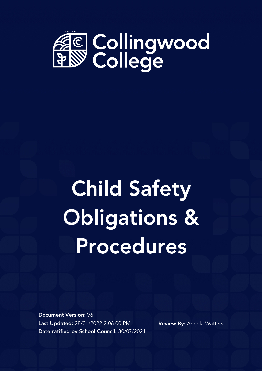

# Child Safety Obligations & Procedures

Document Version: V6 Last Updated: 28/01/2022 2:06:00 PM Date ratified by School Council: 30/07/2021

Review By: Angela Watters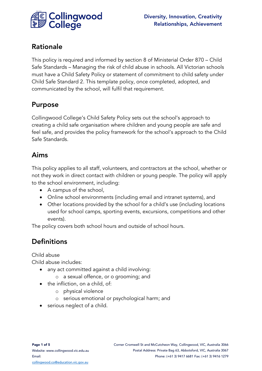

This policy is required and informed by section 8 of Ministerial Order 870 – Child Safe Standards – Managing the risk of child abuse in schools. All Victorian schools must have a Child Safety Policy or statement of commitment to child safety under Child Safe Standard 2. This template policy, once completed, adopted, and communicated by the school, will fulfil that requirement.

#### Purpose

Collingwood College's Child Safety Policy sets out the school's approach to creating a child safe organisation where children and young people are safe and feel safe, and provides the policy framework for the school's approach to the Child Safe Standards.

#### Aims

This policy applies to all staff, volunteers, and contractors at the school, whether or not they work in direct contact with children or young people. The policy will apply to the school environment, including:

- A campus of the school,
- Online school environments (including email and intranet systems), and
- Other locations provided by the school for a child's use (including locations used for school camps, sporting events, excursions, competitions and other events).

The policy covers both school hours and outside of school hours.

## **Definitions**

Child abuse

- any act committed against a child involving:
	- o a sexual offence, or o grooming; and
- the infliction, on a child, of:
	- o physical violence
	- o serious emotional or psychological harm; and
- serious neglect of a child.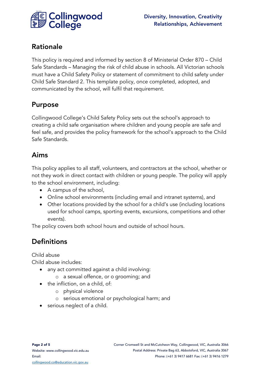

This policy is required and informed by section 8 of Ministerial Order 870 – Child Safe Standards – Managing the risk of child abuse in schools. All Victorian schools must have a Child Safety Policy or statement of commitment to child safety under Child Safe Standard 2. This template policy, once completed, adopted, and communicated by the school, will fulfil that requirement.

#### Purpose

Collingwood College's Child Safety Policy sets out the school's approach to creating a child safe organisation where children and young people are safe and feel safe, and provides the policy framework for the school's approach to the Child Safe Standards.

#### Aims

This policy applies to all staff, volunteers, and contractors at the school, whether or not they work in direct contact with children or young people. The policy will apply to the school environment, including:

- A campus of the school,
- Online school environments (including email and intranet systems), and
- Other locations provided by the school for a child's use (including locations used for school camps, sporting events, excursions, competitions and other events).

The policy covers both school hours and outside of school hours.

## **Definitions**

Child abuse

- any act committed against a child involving:
	- o a sexual offence, or o grooming; and
- the infliction, on a child, of:
	- o physical violence
	- o serious emotional or psychological harm; and
- serious neglect of a child.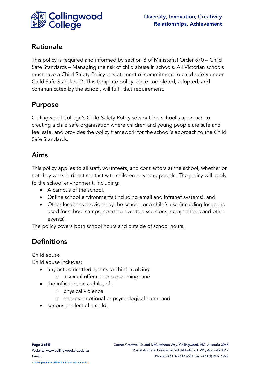

This policy is required and informed by section 8 of Ministerial Order 870 – Child Safe Standards – Managing the risk of child abuse in schools. All Victorian schools must have a Child Safety Policy or statement of commitment to child safety under Child Safe Standard 2. This template policy, once completed, adopted, and communicated by the school, will fulfil that requirement.

#### Purpose

Collingwood College's Child Safety Policy sets out the school's approach to creating a child safe organisation where children and young people are safe and feel safe, and provides the policy framework for the school's approach to the Child Safe Standards.

#### Aims

This policy applies to all staff, volunteers, and contractors at the school, whether or not they work in direct contact with children or young people. The policy will apply to the school environment, including:

- A campus of the school,
- Online school environments (including email and intranet systems), and
- Other locations provided by the school for a child's use (including locations used for school camps, sporting events, excursions, competitions and other events).

The policy covers both school hours and outside of school hours.

## **Definitions**

Child abuse

- any act committed against a child involving:
	- o a sexual offence, or o grooming; and
- the infliction, on a child, of:
	- o physical violence
	- o serious emotional or psychological harm; and
- serious neglect of a child.